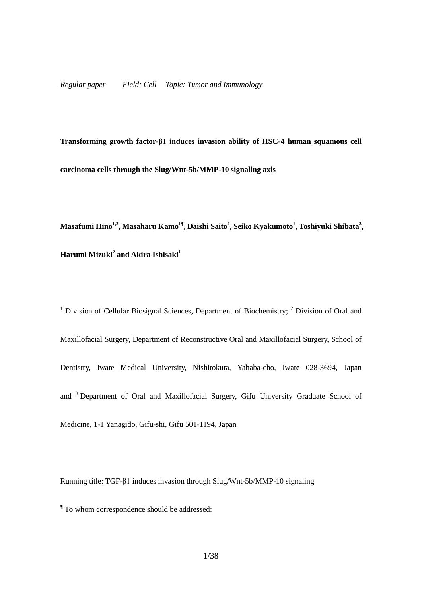**Transforming growth factor-β1 induces invasion ability of HSC-4 human squamous cell carcinoma cells through the Slug/Wnt-5b/MMP-10 signaling axis**

 $\mathbf{M}$ asafumi Hino<sup>1,2</sup>, Masaharu Kamo<sup>1¶</sup>, Daishi Saito<sup>2</sup>, Seiko Kyakumoto<sup>1</sup>, Toshiyuki Shibata<sup>3</sup>, **Harumi Mizuki<sup>2</sup> and Akira Ishisaki<sup>1</sup>** 

<sup>1</sup> Division of Cellular Biosignal Sciences, Department of Biochemistry;  $2$  Division of Oral and Maxillofacial Surgery, Department of Reconstructive Oral and Maxillofacial Surgery, School of Dentistry, Iwate Medical University, Nishitokuta, Yahaba-cho, Iwate 028-3694, Japan and <sup>3</sup> Department of Oral and Maxillofacial Surgery, Gifu University Graduate School of Medicine, 1-1 Yanagido, Gifu-shi, Gifu 501-1194, Japan

Running title: TGF-β1 induces invasion through Slug/Wnt-5b/MMP-10 signaling

**¶** To whom correspondence should be addressed: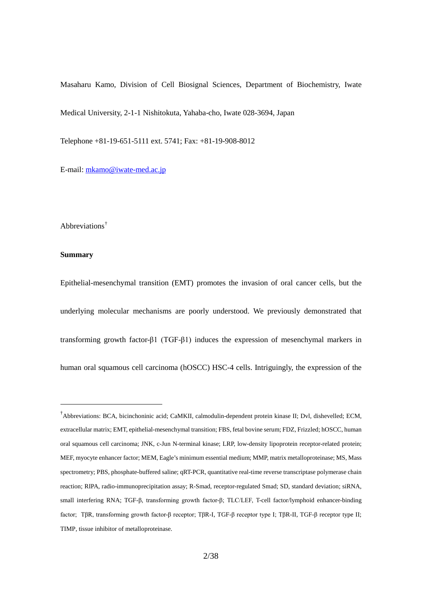Masaharu Kamo, Division of Cell Biosignal Sciences, Department of Biochemistry, Iwate

Medical University, 2-1-1 Nishitokuta, Yahaba-cho, Iwate 028-3694, Japan

Telephone +81-19-651-5111 ext. 5741; Fax: +81-19-908-8012

E-mail: [mkamo@iwate-med.ac.jp](mailto:kyakumot@iwate-med.ac.jp)

## Abbreviations[†](#page-1-0)

#### **Summary**

Epithelial-mesenchymal transition (EMT) promotes the invasion of oral cancer cells, but the underlying molecular mechanisms are poorly understood. We previously demonstrated that transforming growth factor-β1 (TGF-β1) induces the expression of mesenchymal markers in human oral squamous cell carcinoma (hOSCC) HSC-4 cells. Intriguingly, the expression of the

<span id="page-1-0"></span> <sup>†</sup> Abbreviations: BCA, bicinchoninic acid; CaMKII, calmodulin-dependent protein kinase II; Dvl, dishevelled; ECM, extracellular matrix; EMT, epithelial-mesenchymal transition; FBS, fetal bovine serum; FDZ, Frizzled; hOSCC, human oral squamous cell carcinoma; JNK, c-Jun N-terminal kinase; LRP, low-density lipoprotein receptor-related protein; MEF, myocyte enhancer factor; MEM, Eagle's minimum essential medium; MMP, matrix metalloproteinase; MS, Mass spectrometry; PBS, phosphate-buffered saline; qRT-PCR, quantitative real-time reverse transcriptase polymerase chain reaction; RIPA, radio-immunoprecipitation assay; R-Smad, receptor-regulated Smad; SD, standard deviation; siRNA, small interfering RNA; TGF-β, transforming growth factor-β; TLC/LEF, T-cell factor/lymphoid enhancer-binding factor; TβR, transforming growth factor-β receptor; TβR-I, TGF-β receptor type I; TβR-II, TGF-β receptor type II; TIMP*,* tissue inhibitor of metalloproteinase.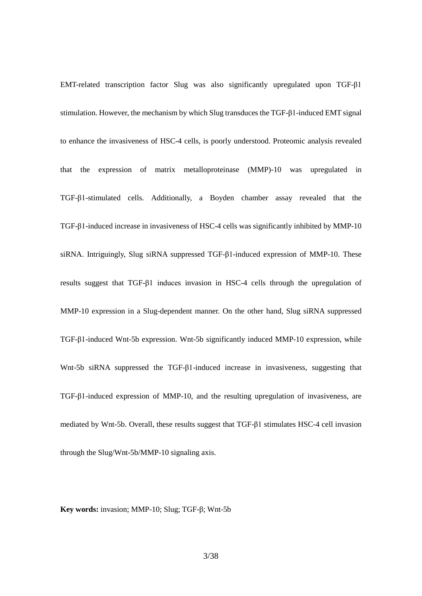EMT-related transcription factor Slug was also significantly upregulated upon TGF-β1 stimulation. However, the mechanism by which Slug transduces the TGF-β1-induced EMT signal to enhance the invasiveness of HSC-4 cells, is poorly understood. Proteomic analysis revealed that the expression of matrix metalloproteinase (MMP)-10 was upregulated in TGF-β1-stimulated cells. Additionally, a Boyden chamber assay revealed that the TGF-β1-induced increase in invasiveness of HSC-4 cells was significantly inhibited by MMP-10 siRNA. Intriguingly, Slug siRNA suppressed TGF-β1-induced expression of MMP-10. These results suggest that TGF-β1 induces invasion in HSC-4 cells through the upregulation of MMP-10 expression in a Slug-dependent manner. On the other hand, Slug siRNA suppressed TGF-β1-induced Wnt-5b expression. Wnt-5b significantly induced MMP-10 expression, while Wnt-5b siRNA suppressed the TGF-β1-induced increase in invasiveness, suggesting that TGF-β1-induced expression of MMP-10, and the resulting upregulation of invasiveness, are mediated by Wnt-5b. Overall, these results suggest that TGF-β1 stimulates HSC-4 cell invasion through the Slug/Wnt-5b/MMP-10 signaling axis.

**Key words:** invasion; MMP-10; Slug; TGF-β; Wnt-5b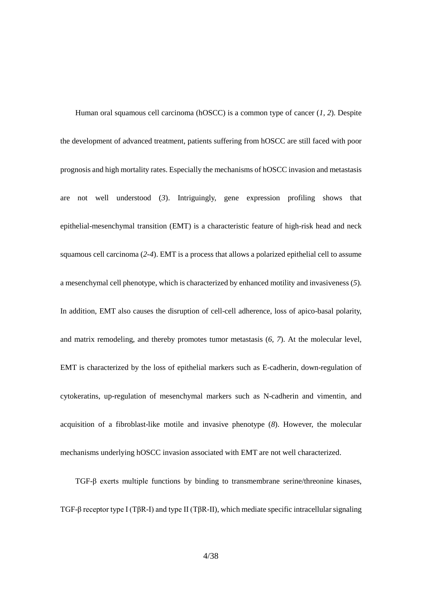Human oral squamous cell carcinoma (hOSCC) is a common type of cancer (*1, 2*). Despite the development of advanced treatment, patients suffering from hOSCC are still faced with poor prognosis and high mortality rates. Especially the mechanisms of hOSCC invasion and metastasis are not well understood (*3*). Intriguingly, gene expression profiling shows that epithelial-mesenchymal transition (EMT) is a characteristic feature of high-risk head and neck squamous cell carcinoma (*2-4*). EMT is a process that allows a polarized epithelial cell to assume a mesenchymal cell phenotype, which is characterized by enhanced motility and invasiveness (*5*). In addition, EMT also causes the disruption of cell-cell adherence, loss of apico-basal polarity, and matrix remodeling, and thereby promotes tumor metastasis (*6, 7*). At the molecular level, EMT is characterized by the loss of epithelial markers such as E-cadherin, down-regulation of cytokeratins, up-regulation of mesenchymal markers such as N-cadherin and vimentin, and acquisition of a fibroblast-like motile and invasive phenotype (*8*). However, the molecular mechanisms underlying hOSCC invasion associated with EMT are not well characterized.

TGF-β exerts multiple functions by binding to transmembrane serine/threonine kinases, TGF-β receptor type I (TβR-I) and type II (TβR-II), which mediate specific intracellular signaling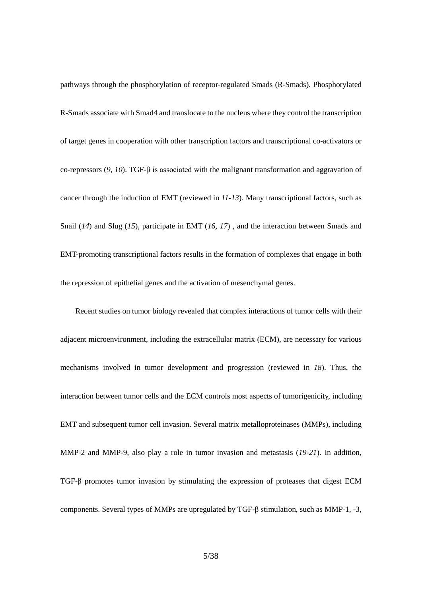pathways through the phosphorylation of receptor-regulated Smads (R-Smads). Phosphorylated R-Smads associate with Smad4 and translocate to the nucleus where they control the transcription of target genes in cooperation with other transcription factors and transcriptional co-activators or co-repressors (*9, 10*). TGF-β is associated with the malignant transformation and aggravation of cancer through the induction of EMT (reviewed in *11-13*). Many transcriptional factors, such as Snail (*14*) and Slug (*15*), participate in EMT (*16, 17*) , and the interaction between Smads and EMT-promoting transcriptional factors results in the formation of complexes that engage in both the repression of epithelial genes and the activation of mesenchymal genes.

Recent studies on tumor biology revealed that complex interactions of tumor cells with their adjacent microenvironment, including the extracellular matrix (ECM), are necessary for various mechanisms involved in tumor development and progression (reviewed in *18*). Thus, the interaction between tumor cells and the ECM controls most aspects of tumorigenicity, including EMT and subsequent tumor cell invasion. Several matrix metalloproteinases (MMPs), including MMP-2 and MMP-9, also play a role in tumor invasion and metastasis (*19-21*). In addition, TGF-β promotes tumor invasion by stimulating the expression of proteases that digest ECM components. Several types of MMPs are upregulated by TGF-β stimulation, such as MMP-1, -3,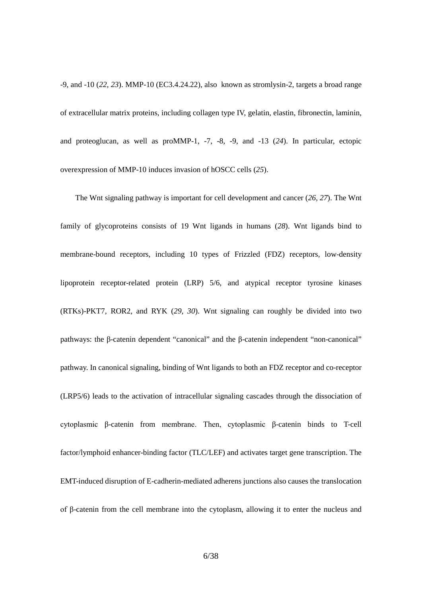-9, and -10 (*22, 23*). MMP-10 (EC3.4.24.22), also known as stromlysin-2, targets a broad range of extracellular matrix proteins, including collagen type IV, gelatin, elastin, fibronectin, laminin, and proteoglucan, as well as proMMP-1, -7, -8, -9, and -13 (*24*). In particular, ectopic overexpression of MMP-10 induces invasion of hOSCC cells (*25*).

The Wnt signaling pathway is important for cell development and cancer (*26, 27*). The Wnt family of glycoproteins consists of 19 Wnt ligands in humans (*28*). Wnt ligands bind to membrane-bound receptors, including 10 types of Frizzled (FDZ) receptors, low-density lipoprotein receptor-related protein (LRP) 5/6, and atypical receptor tyrosine kinases (RTKs)-PKT7, ROR2, and RYK (*29, 30*). Wnt signaling can roughly be divided into two pathways: the β-catenin dependent "canonical" and the β-catenin independent "non-canonical" pathway. In canonical signaling, binding of Wnt ligands to both an FDZ receptor and co-receptor (LRP5/6) leads to the activation of intracellular signaling cascades through the dissociation of cytoplasmic β-catenin from membrane. Then, cytoplasmic β-catenin binds to T-cell factor/lymphoid enhancer-binding factor (TLC/LEF) and activates target gene transcription. The EMT-induced disruption of E-cadherin-mediated adherens junctions also causes the translocation of β-catenin from the cell membrane into the cytoplasm, allowing it to enter the nucleus and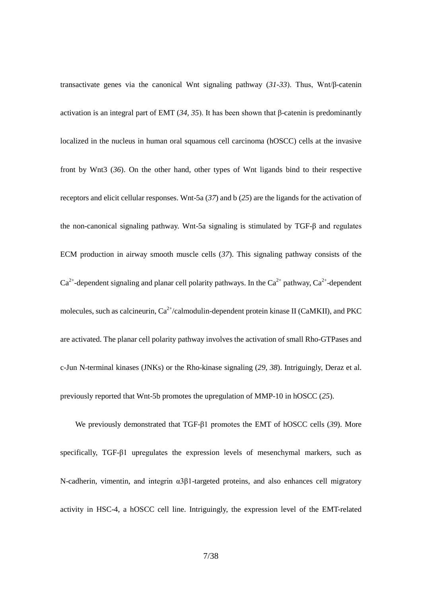transactivate genes via the canonical Wnt signaling pathway (*31-33*). Thus, Wnt/β-catenin activation is an integral part of EMT (*34, 35*). It has been shown that β-catenin is predominantly localized in the nucleus in human oral squamous cell carcinoma (hOSCC) cells at the invasive front by Wnt3 (*36*). On the other hand, other types of Wnt ligands bind to their respective receptors and elicit cellular responses. Wnt-5a (*37*) and b (*25*) are the ligands for the activation of the non-canonical signaling pathway. Wnt-5a signaling is stimulated by TGF-β and regulates ECM production in airway smooth muscle cells (*37*). This signaling pathway consists of the  $Ca^{2+}$ -dependent signaling and planar cell polarity pathways. In the  $Ca^{2+}$  pathway,  $Ca^{2+}$ -dependent molecules, such as calcineurin,  $Ca^{2+}/c$ almodulin-dependent protein kinase II (CaMKII), and PKC are activated. The planar cell polarity pathway involves the activation of small Rho-GTPases and c-Jun N-terminal kinases (JNKs) or the Rho-kinase signaling (*29, 38*). Intriguingly, Deraz et al. previously reported that Wnt-5b promotes the upregulation of MMP-10 in hOSCC (*25*).

We previously demonstrated that TGF-β1 promotes the EMT of hOSCC cells (*39*). More specifically, TGF-β1 upregulates the expression levels of mesenchymal markers, such as N-cadherin, vimentin, and integrin α3β1-targeted proteins, and also enhances cell migratory activity in HSC-4, a hOSCC cell line. Intriguingly, the expression level of the EMT-related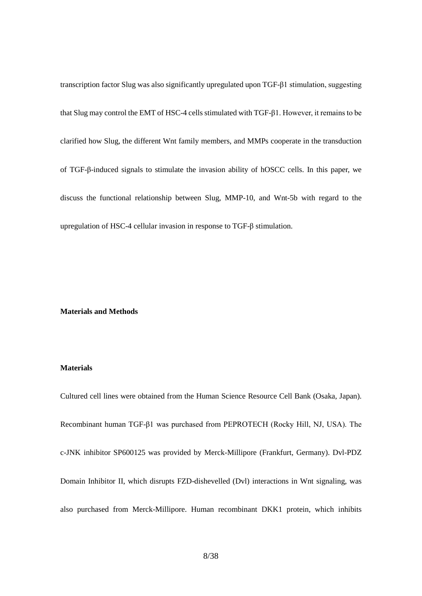transcription factor Slug was also significantly upregulated upon TGF-β1 stimulation, suggesting that Slug may control the EMT of HSC-4 cells stimulated with TGF-β1. However, it remains to be clarified how Slug, the different Wnt family members, and MMPs cooperate in the transduction of TGF-β-induced signals to stimulate the invasion ability of hOSCC cells. In this paper, we discuss the functional relationship between Slug, MMP-10, and Wnt-5b with regard to the upregulation of HSC-4 cellular invasion in response to TGF-β stimulation.

#### **Materials and Methods**

#### **Materials**

Cultured cell lines were obtained from the Human Science Resource Cell Bank (Osaka, Japan). Recombinant human TGF-β1 was purchased from PEPROTECH (Rocky Hill, NJ, USA). The c-JNK inhibitor SP600125 was provided by Merck-Millipore (Frankfurt, Germany). Dvl-PDZ Domain Inhibitor II, which disrupts FZD-dishevelled (Dvl) interactions in Wnt signaling, was also purchased from Merck-Millipore. Human recombinant DKK1 protein, which inhibits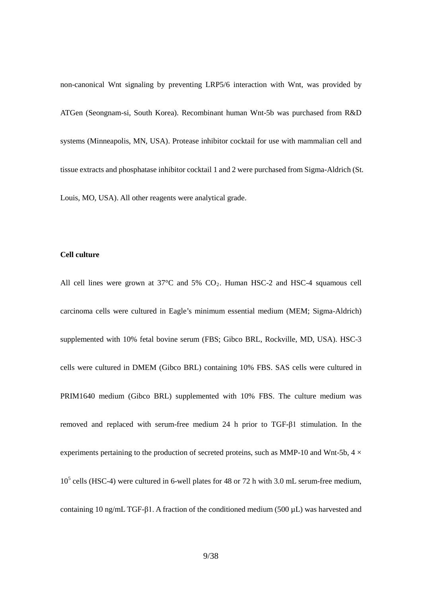non-canonical Wnt signaling by preventing LRP5/6 interaction with Wnt, was provided by ATGen (Seongnam-si, South Korea). Recombinant human Wnt-5b was purchased from R&D systems (Minneapolis, MN, USA). Protease inhibitor cocktail for use with mammalian cell and tissue extracts and phosphatase inhibitor cocktail 1 and 2 were purchased from Sigma-Aldrich (St. Louis, MO, USA). All other reagents were analytical grade.

## **Cell culture**

All cell lines were grown at  $37^{\circ}$ C and  $5\%$  CO<sub>2</sub>. Human HSC-2 and HSC-4 squamous cell carcinoma cells were cultured in Eagle's minimum essential medium (MEM; Sigma-Aldrich) supplemented with 10% fetal bovine serum (FBS; Gibco BRL, Rockville, MD, USA). HSC-3 cells were cultured in DMEM (Gibco BRL) containing 10% FBS. SAS cells were cultured in PRIM1640 medium (Gibco BRL) supplemented with 10% FBS. The culture medium was removed and replaced with serum-free medium 24 h prior to TGF-β1 stimulation. In the experiments pertaining to the production of secreted proteins, such as MMP-10 and Wnt-5b,  $4 \times$  $10<sup>5</sup>$  cells (HSC-4) were cultured in 6-well plates for 48 or 72 h with 3.0 mL serum-free medium, containing 10 ng/mL TGF-β1. A fraction of the conditioned medium (500 µL) was harvested and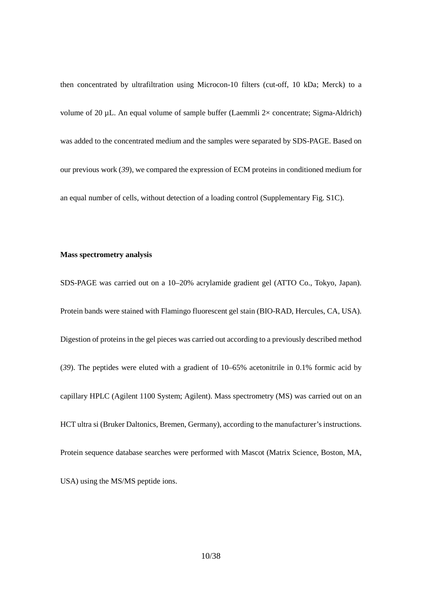then concentrated by ultrafiltration using Microcon-10 filters (cut-off, 10 kDa; Merck) to a volume of 20  $\mu$ L. An equal volume of sample buffer (Laemmli 2 $\times$  concentrate; Sigma-Aldrich) was added to the concentrated medium and the samples were separated by SDS-PAGE. Based on our previous work (*39*), we compared the expression of ECM proteins in conditioned medium for an equal number of cells, without detection of a loading control (Supplementary Fig. S1C).

## **Mass spectrometry analysis**

SDS-PAGE was carried out on a 10–20% acrylamide gradient gel (ATTO Co., Tokyo, Japan). Protein bands were stained with Flamingo fluorescent gel stain (BIO-RAD, Hercules, CA, USA). Digestion of proteins in the gel pieces was carried out according to a previously described method (*39*). The peptides were eluted with a gradient of 10–65% acetonitrile in 0.1% formic acid by capillary HPLC (Agilent 1100 System; Agilent). Mass spectrometry (MS) was carried out on an HCT ultra si (Bruker Daltonics, Bremen, Germany), according to the manufacturer's instructions. Protein sequence database searches were performed with Mascot (Matrix Science, Boston, MA, USA) using the MS/MS peptide ions.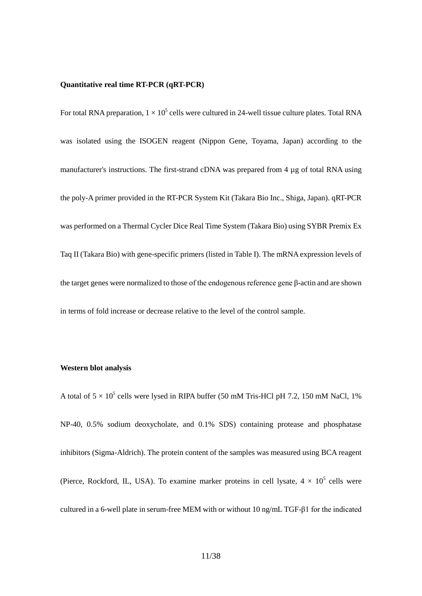#### **Quantitative real time RT-PCR (qRT-PCR)**

For total RNA preparation,  $1 \times 10^5$  cells were cultured in 24-well tissue culture plates. Total RNA was isolated using the ISOGEN reagent (Nippon Gene, Toyama, Japan) according to the manufacturer's instructions. The first-strand cDNA was prepared from 4 µg of total RNA using the poly-A primer provided in the RT-PCR System Kit (Takara Bio Inc., Shiga, Japan). qRT-PCR was performed on a Thermal Cycler Dice Real Time System (Takara Bio) using SYBR Premix Ex Taq II (Takara Bio) with gene-specific primers (listed in Table I). The mRNA expression levels of the target genes were normalized to those of the endogenous reference gene β-actin and are shown in terms of fold increase or decrease relative to the level of the control sample.

#### **Western blot analysis**

A total of  $5 \times 10^5$  cells were lysed in RIPA buffer (50 mM Tris-HCl pH 7.2, 150 mM NaCl, 1%) NP-40, 0.5% sodium deoxycholate, and 0.1% SDS) containing protease and phosphatase inhibitors (Sigma-Aldrich). The protein content of the samples was measured using BCA reagent (Pierce, Rockford, IL, USA). To examine marker proteins in cell lysate,  $4 \times 10^5$  cells were cultured in a 6-well plate in serum-free MEM with or without 10 ng/mL TGF-β1 for the indicated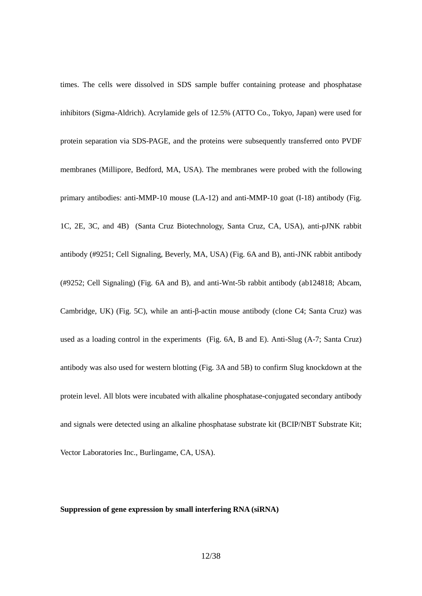times. The cells were dissolved in SDS sample buffer containing protease and phosphatase inhibitors (Sigma-Aldrich). Acrylamide gels of 12.5% (ATTO Co., Tokyo, Japan) were used for protein separation via SDS-PAGE, and the proteins were subsequently transferred onto PVDF membranes (Millipore, Bedford, MA, USA). The membranes were probed with the following primary antibodies: anti-MMP-10 mouse (LA-12) and anti-MMP-10 goat (I-18) antibody (Fig. 1C, 2E, 3C, and 4B) (Santa Cruz Biotechnology, Santa Cruz, CA, USA), anti-pJNK rabbit antibody (#9251; Cell Signaling, Beverly, MA, USA) (Fig. 6A and B), anti-JNK rabbit antibody (#9252; Cell Signaling) (Fig. 6A and B), and anti-Wnt-5b rabbit antibody (ab124818; Abcam, Cambridge, UK) (Fig. 5C), while an anti-β-actin mouse antibody (clone C4; Santa Cruz) was used as a loading control in the experiments (Fig. 6A, B and E). Anti-Slug (A-7; Santa Cruz) antibody was also used for western blotting (Fig. 3A and 5B) to confirm Slug knockdown at the protein level. All blots were incubated with alkaline phosphatase-conjugated secondary antibody and signals were detected using an alkaline phosphatase substrate kit (BCIP/NBT Substrate Kit; Vector Laboratories Inc., Burlingame, CA, USA).

### **Suppression of gene expression by small interfering RNA (siRNA)**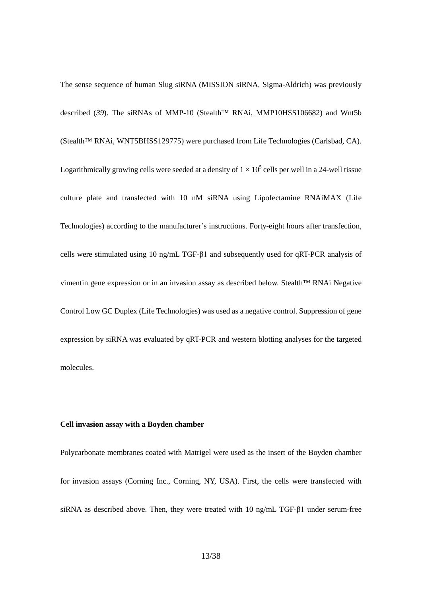The sense sequence of human Slug siRNA (MISSION siRNA, Sigma-Aldrich) was previously described (*39*). The siRNAs of MMP-10 (Stealth™ RNAi, MMP10HSS106682) and Wnt5b (Stealth™ RNAi, WNT5BHSS129775) were purchased from Life Technologies (Carlsbad, CA). Logarithmically growing cells were seeded at a density of  $1 \times 10^5$  cells per well in a 24-well tissue culture plate and transfected with 10 nM siRNA using Lipofectamine RNAiMAX (Life Technologies) according to the manufacturer's instructions. Forty-eight hours after transfection, cells were stimulated using 10 ng/mL TGF-β1 and subsequently used for qRT-PCR analysis of vimentin gene expression or in an invasion assay as described below. Stealth™ RNAi Negative Control Low GC Duplex (Life Technologies) was used as a negative control. Suppression of gene expression by siRNA was evaluated by qRT-PCR and western blotting analyses for the targeted molecules.

## **Cell invasion assay with a Boyden chamber**

Polycarbonate membranes coated with Matrigel were used as the insert of the Boyden chamber for invasion assays (Corning Inc., Corning, NY, USA). First, the cells were transfected with siRNA as described above. Then, they were treated with 10 ng/mL TGF-β1 under serum-free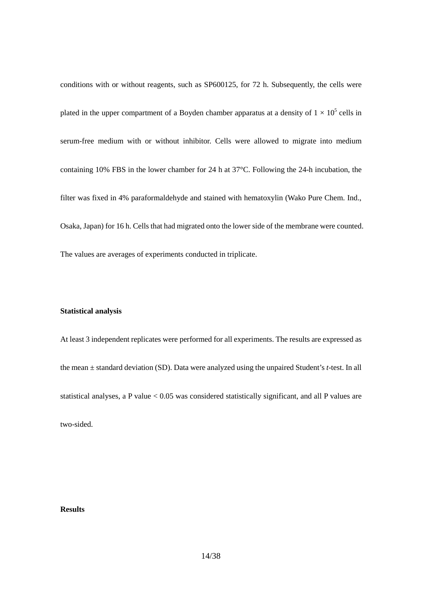conditions with or without reagents, such as SP600125, for 72 h. Subsequently, the cells were plated in the upper compartment of a Boyden chamber apparatus at a density of  $1 \times 10^5$  cells in serum-free medium with or without inhibitor. Cells were allowed to migrate into medium containing 10% FBS in the lower chamber for 24 h at 37°C. Following the 24-h incubation, the filter was fixed in 4% paraformaldehyde and stained with hematoxylin (Wako Pure Chem. Ind., Osaka, Japan) for 16 h. Cells that had migrated onto the lower side of the membrane were counted. The values are averages of experiments conducted in triplicate.

### **Statistical analysis**

At least 3 independent replicates were performed for all experiments. The results are expressed as the mean ± standard deviation (SD). Data were analyzed using the unpaired Student's *t*-test. In all statistical analyses, a P value < 0.05 was considered statistically significant, and all P values are two-sided.

# **Results**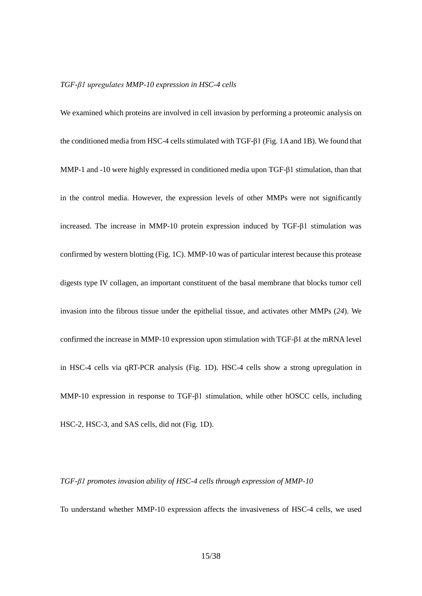#### *TGF-β1 upregulates MMP-10 expression in HSC-4 cells*

We examined which proteins are involved in cell invasion by performing a proteomic analysis on the conditioned media from HSC-4 cells stimulated with TGF-β1 (Fig. 1A and 1B). We found that MMP-1 and -10 were highly expressed in conditioned media upon TGF-β1 stimulation, than that in the control media. However, the expression levels of other MMPs were not significantly increased. The increase in MMP-10 protein expression induced by TGF-β1 stimulation was confirmed by western blotting (Fig. 1C). MMP-10 was of particular interest because this protease digests type IV collagen, an important constituent of the basal membrane that blocks tumor cell invasion into the fibrous tissue under the epithelial tissue, and activates other MMPs (*24*). We confirmed the increase in MMP-10 expression upon stimulation with TGF-β1 at the mRNA level in HSC-4 cells via qRT-PCR analysis (Fig. 1D). HSC-4 cells show a strong upregulation in MMP-10 expression in response to TGF-β1 stimulation, while other hOSCC cells, including HSC-2, HSC-3, and SAS cells, did not (Fig. 1D).

#### *TGF-β1 promotes invasion ability of HSC-4 cells through expression of MMP-10*

To understand whether MMP-10 expression affects the invasiveness of HSC-4 cells, we used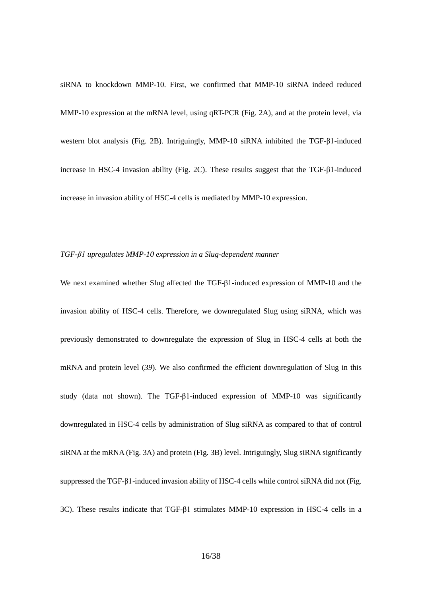siRNA to knockdown MMP-10. First, we confirmed that MMP-10 siRNA indeed reduced MMP-10 expression at the mRNA level, using qRT-PCR (Fig. 2A), and at the protein level, via western blot analysis (Fig. 2B). Intriguingly, MMP-10 siRNA inhibited the TGF-β1-induced increase in HSC-4 invasion ability (Fig. 2C). These results suggest that the TGF-β1-induced increase in invasion ability of HSC-4 cells is mediated by MMP-10 expression.

#### *TGF-β1 upregulates MMP-10 expression in a Slug-dependent manner*

We next examined whether Slug affected the TGF-β1-induced expression of MMP-10 and the invasion ability of HSC-4 cells. Therefore, we downregulated Slug using siRNA, which was previously demonstrated to downregulate the expression of Slug in HSC-4 cells at both the mRNA and protein level (*39*). We also confirmed the efficient downregulation of Slug in this study (data not shown). The TGF-β1-induced expression of MMP-10 was significantly downregulated in HSC-4 cells by administration of Slug siRNA as compared to that of control siRNA at the mRNA (Fig. 3A) and protein (Fig. 3B) level. Intriguingly, Slug siRNA significantly suppressed the TGF-β1-induced invasion ability of HSC-4 cells while control siRNA did not (Fig. 3C). These results indicate that TGF-β1 stimulates MMP-10 expression in HSC-4 cells in a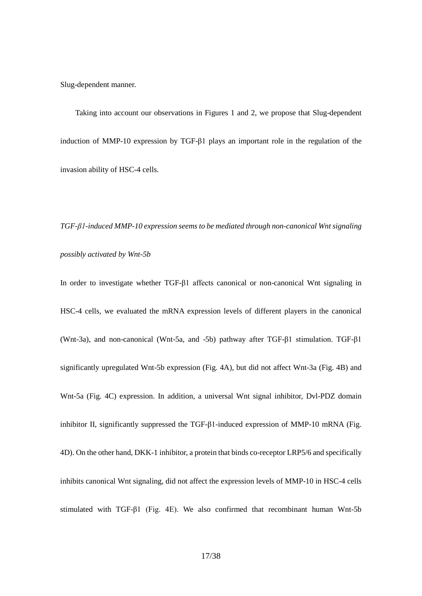Slug-dependent manner.

Taking into account our observations in Figures 1 and 2, we propose that Slug-dependent induction of MMP-10 expression by TGF-β1 plays an important role in the regulation of the invasion ability of HSC-4 cells.

*TGF-β1-induced MMP-10 expression seems to be mediated through non-canonical Wnt signaling possibly activated by Wnt-5b*

In order to investigate whether TGF-β1 affects canonical or non-canonical Wnt signaling in HSC-4 cells, we evaluated the mRNA expression levels of different players in the canonical (Wnt-3a), and non-canonical (Wnt-5a, and -5b) pathway after TGF-β1 stimulation. TGF-β1 significantly upregulated Wnt-5b expression (Fig. 4A), but did not affect Wnt-3a (Fig. 4B) and Wnt-5a (Fig. 4C) expression. In addition, a universal Wnt signal inhibitor, Dvl-PDZ domain inhibitor II, significantly suppressed the TGF-β1-induced expression of MMP-10 mRNA (Fig. 4D). On the other hand, DKK-1 inhibitor, a protein that binds co-receptor LRP5/6 and specifically inhibits canonical Wnt signaling, did not affect the expression levels of MMP-10 in HSC-4 cells stimulated with TGF-β1 (Fig. 4E). We also confirmed that recombinant human Wnt-5b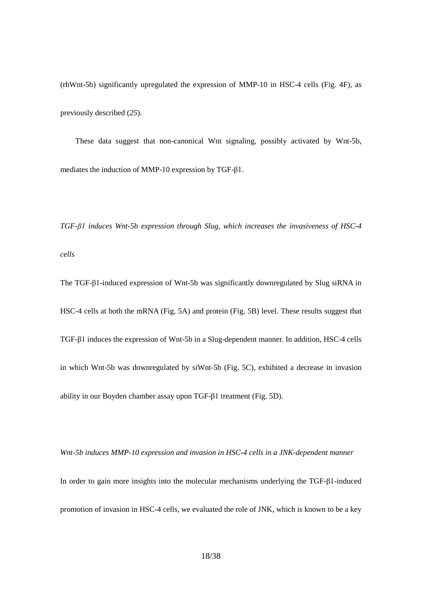(rhWnt-5b) significantly upregulated the expression of MMP-10 in HSC-4 cells (Fig. 4F), as previously described (*25*).

These data suggest that non-canonical Wnt signaling, possibly activated by Wnt-5b, mediates the induction of MMP-10 expression by TGF-β1.

*TGF-β1 induces Wnt-5b expression through Slug, which increases the invasiveness of HSC-4 cells*

The TGF-β1-induced expression of Wnt-5b was significantly downregulated by Slug siRNA in HSC-4 cells at both the mRNA (Fig. 5A) and protein (Fig. 5B) level. These results suggest that TGF-β1 induces the expression of Wnt-5b in a Slug-dependent manner. In addition, HSC-4 cells in which Wnt-5b was downregulated by siWnt-5b (Fig. 5C), exhibited a decrease in invasion ability in our Boyden chamber assay upon TGF-β1 treatment (Fig. 5D).

*Wnt-5b induces MMP-10 expression and invasion in HSC-4 cells in a JNK-dependent manner* In order to gain more insights into the molecular mechanisms underlying the TGF-β1-induced promotion of invasion in HSC-4 cells, we evaluated the role of JNK, which is known to be a key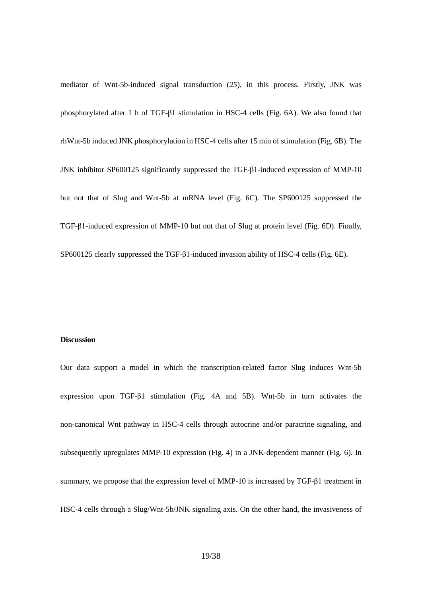mediator of Wnt-5b-induced signal transduction (*25*), in this process. Firstly, JNK was phosphorylated after 1 h of TGF-β1 stimulation in HSC-4 cells (Fig. 6A). We also found that rhWnt-5b induced JNK phosphorylation in HSC-4 cells after 15 min of stimulation (Fig. 6B). The JNK inhibitor SP600125 significantly suppressed the TGF-β1-induced expression of MMP-10 but not that of Slug and Wnt-5b at mRNA level (Fig. 6C). The SP600125 suppressed the TGF-β1-induced expression of MMP-10 but not that of Slug at protein level (Fig. 6D). Finally, SP600125 clearly suppressed the TGF-β1-induced invasion ability of HSC-4 cells (Fig. 6E).

#### **Discussion**

Our data support a model in which the transcription-related factor Slug induces Wnt-5b expression upon TGF-β1 stimulation (Fig. 4A and 5B). Wnt-5b in turn activates the non-canonical Wnt pathway in HSC-4 cells through autocrine and/or paracrine signaling, and subsequently upregulates MMP-10 expression (Fig. 4) in a JNK-dependent manner (Fig. 6). In summary, we propose that the expression level of MMP-10 is increased by TGF-β1 treatment in HSC-4 cells through a Slug/Wnt-5b/JNK signaling axis. On the other hand, the invasiveness of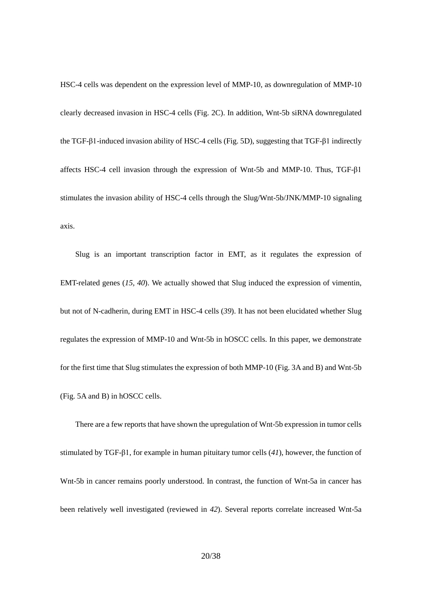HSC-4 cells was dependent on the expression level of MMP-10, as downregulation of MMP-10 clearly decreased invasion in HSC-4 cells (Fig. 2C). In addition, Wnt-5b siRNA downregulated the TGF-β1-induced invasion ability of HSC-4 cells (Fig. 5D), suggesting that TGF-β1 indirectly affects HSC-4 cell invasion through the expression of Wnt-5b and MMP-10. Thus, TGF-β1 stimulates the invasion ability of HSC-4 cells through the Slug/Wnt-5b/JNK/MMP-10 signaling axis.

Slug is an important transcription factor in EMT, as it regulates the expression of EMT-related genes (*15, 40*). We actually showed that Slug induced the expression of vimentin, but not of N-cadherin, during EMT in HSC-4 cells (*39*). It has not been elucidated whether Slug regulates the expression of MMP-10 and Wnt-5b in hOSCC cells. In this paper, we demonstrate for the first time that Slug stimulates the expression of both MMP-10 (Fig. 3A and B) and Wnt-5b (Fig. 5A and B) in hOSCC cells.

There are a few reports that have shown the upregulation of Wnt-5b expression in tumor cells stimulated by TGF-β1, for example in human pituitary tumor cells (*41*), however, the function of Wnt-5b in cancer remains poorly understood. In contrast, the function of Wnt-5a in cancer has been relatively well investigated (reviewed in *42*). Several reports correlate increased Wnt-5a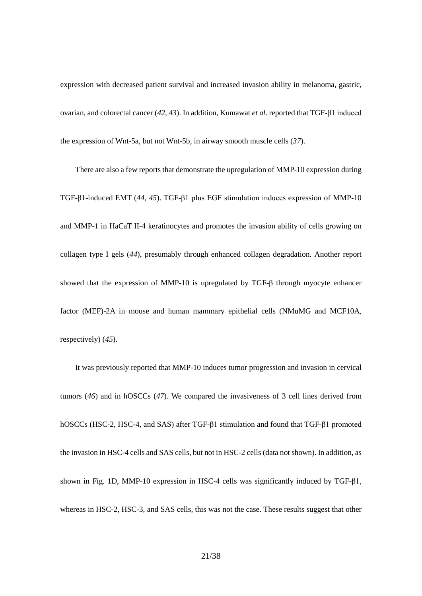expression with decreased patient survival and increased invasion ability in melanoma, gastric, ovarian, and colorectal cancer (*42, 43*). In addition, Kumawat *et al*. reported that TGF-β1 induced the expression of Wnt-5a, but not Wnt-5b, in airway smooth muscle cells (*37*).

There are also a few reports that demonstrate the upregulation of MMP-10 expression during TGF-β1-induced EMT (*44, 45*). TGF-β1 plus EGF stimulation induces expression of MMP-10 and MMP-1 in HaCaT II-4 keratinocytes and promotes the invasion ability of cells growing on collagen type I gels (*44*), presumably through enhanced collagen degradation. Another report showed that the expression of MMP-10 is upregulated by TGF-β through myocyte enhancer factor (MEF)-2A in mouse and human mammary epithelial cells (NMuMG and MCF10A, respectively) (*45*).

It was previously reported that MMP-10 induces tumor progression and invasion in cervical tumors (*46*) and in hOSCCs (*47*). We compared the invasiveness of 3 cell lines derived from hOSCCs (HSC-2, HSC-4, and SAS) after TGF-β1 stimulation and found that TGF-β1 promoted the invasion in HSC-4 cells and SAS cells, but not in HSC-2 cells (data not shown). In addition, as shown in Fig. 1D, MMP-10 expression in HSC-4 cells was significantly induced by TGF-β1, whereas in HSC-2, HSC-3, and SAS cells, this was not the case. These results suggest that other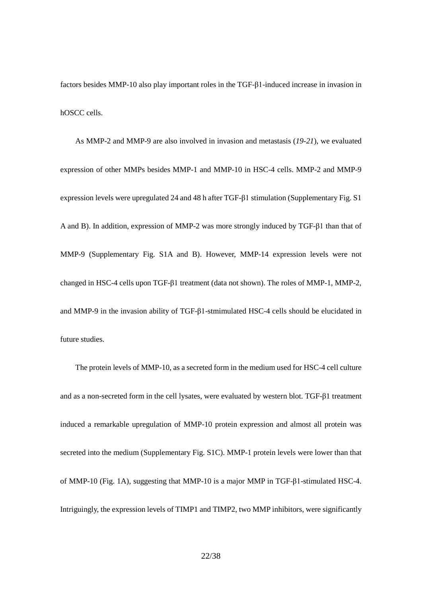factors besides MMP-10 also play important roles in the TGF-β1-induced increase in invasion in hOSCC cells.

As MMP-2 and MMP-9 are also involved in invasion and metastasis (*19-21*), we evaluated expression of other MMPs besides MMP-1 and MMP-10 in HSC-4 cells. MMP-2 and MMP-9 expression levels were upregulated 24 and 48 h after TGF-β1 stimulation (Supplementary Fig. S1 A and B). In addition, expression of MMP-2 was more strongly induced by TGF-β1 than that of MMP-9 (Supplementary Fig. S1A and B). However, MMP-14 expression levels were not changed in HSC-4 cells upon TGF-β1 treatment (data not shown). The roles of MMP-1, MMP-2, and MMP-9 in the invasion ability of TGF-β1-stmimulated HSC-4 cells should be elucidated in future studies.

The protein levels of MMP-10, as a secreted form in the medium used for HSC-4 cell culture and as a non-secreted form in the cell lysates, were evaluated by western blot. TGF-β1 treatment induced a remarkable upregulation of MMP-10 protein expression and almost all protein was secreted into the medium (Supplementary Fig. S1C). MMP-1 protein levels were lower than that of MMP-10 (Fig. 1A), suggesting that MMP-10 is a major MMP in TGF-β1-stimulated HSC-4. Intriguingly, the expression levels of TIMP1 and TIMP2, two MMP inhibitors, were significantly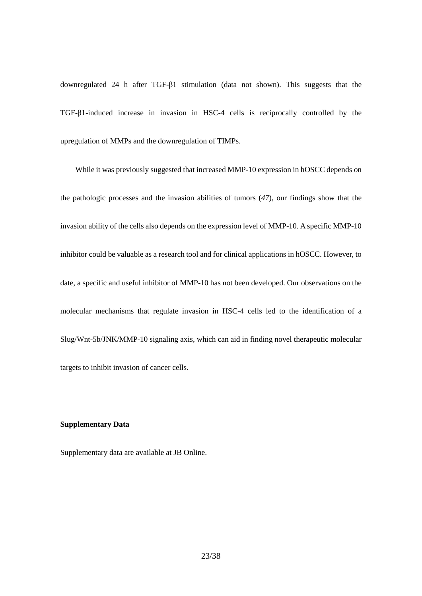downregulated 24 h after TGF-β1 stimulation (data not shown). This suggests that the TGF-β1-induced increase in invasion in HSC-4 cells is reciprocally controlled by the upregulation of MMPs and the downregulation of TIMPs.

While it was previously suggested that increased MMP-10 expression in hOSCC depends on the pathologic processes and the invasion abilities of tumors (*47*), our findings show that the invasion ability of the cells also depends on the expression level of MMP-10. A specific MMP-10 inhibitor could be valuable as a research tool and for clinical applications in hOSCC. However, to date, a specific and useful inhibitor of MMP-10 has not been developed. Our observations on the molecular mechanisms that regulate invasion in HSC-4 cells led to the identification of a Slug/Wnt-5b/JNK/MMP-10 signaling axis, which can aid in finding novel therapeutic molecular targets to inhibit invasion of cancer cells.

## **Supplementary Data**

Supplementary data are available at JB Online.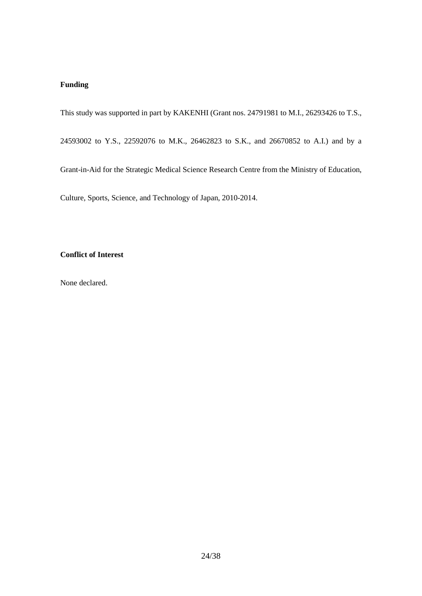# **Funding**

This study was supported in part by KAKENHI (Grant nos. 24791981 to M.I., 26293426 to T.S.,

24593002 to Y.S., 22592076 to M.K., 26462823 to S.K., and 26670852 to A.I.) and by a

Grant-in-Aid for the Strategic Medical Science Research Centre from the Ministry of Education,

Culture, Sports, Science, and Technology of Japan, 2010-2014.

# **Conflict of Interest**

None declared.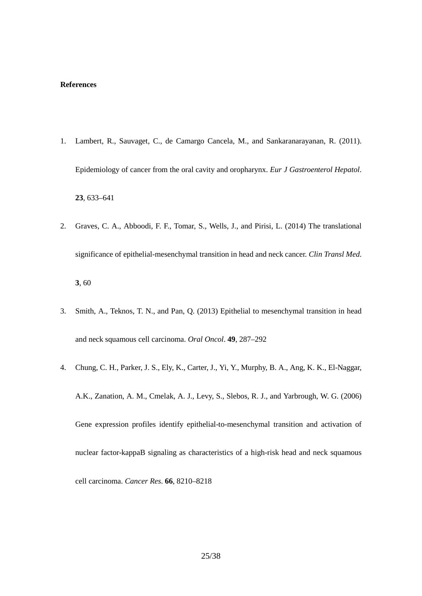#### **References**

- 1. Lambert, R., Sauvaget, C., de Camargo Cancela, M., and Sankaranarayanan, R. (2011). Epidemiology of cancer from the oral cavity and oropharynx. *Eur J Gastroenterol Hepatol*. **23**, 633–641
- 2. Graves, C. A., Abboodi, F. F., Tomar, S., Wells, J., and Pirisi, L. (2014) The translational significance of epithelial-mesenchymal transition in head and neck cancer. *Clin Transl Med*. **3**, 60
- 3. Smith, A., Teknos, T. N., and Pan, Q. (2013) Epithelial to mesenchymal transition in head and neck squamous cell carcinoma. *Oral Oncol*. **49**, 287–292
- 4. Chung, C. H., Parker, J. S., Ely, K., Carter, J., Yi, Y., Murphy, B. A., Ang, K. K., El-Naggar, A.K., Zanation, A. M., Cmelak, A. J., Levy, S., Slebos, R. J., and Yarbrough, W. G. (2006) Gene expression profiles identify epithelial-to-mesenchymal transition and activation of nuclear factor-kappaB signaling as characteristics of a high-risk head and neck squamous cell carcinoma. *Cancer Res*. **66**, 8210–8218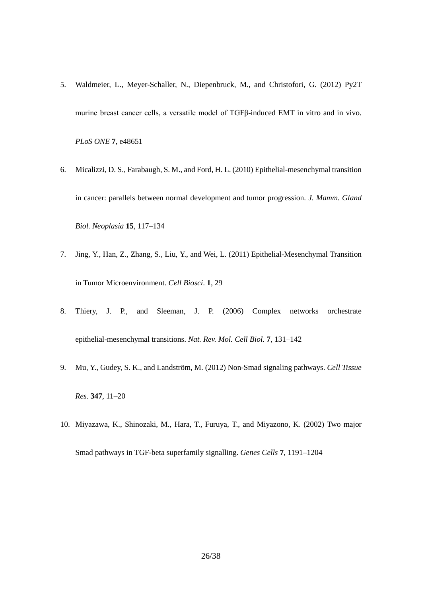- 5. Waldmeier, L., Meyer-Schaller, N., Diepenbruck, M., and Christofori, G. (2012) Py2T murine breast cancer cells, a versatile model of TGFβ-induced EMT in vitro and in vivo. *PLoS ONE* **7**, e48651
- 6. Micalizzi, D. S., Farabaugh, S. M., and Ford, H. L. (2010) Epithelial-mesenchymal transition in cancer: parallels between normal development and tumor progression. *J. Mamm. Gland Biol. Neoplasia* **15**, 117–134
- 7. Jing, Y., Han, Z., Zhang, S., Liu, Y., and Wei, L. (2011) Epithelial-Mesenchymal Transition in Tumor Microenvironment. *Cell Biosci*. **1**, 29
- 8. Thiery, J. P., and Sleeman, J. P. (2006) Complex networks orchestrate epithelial-mesenchymal transitions. *Nat. Rev. Mol. Cell Biol.* **7**, 131–142
- 9. Mu, Y., Gudey, S. K., and Landström, M. (2012) Non-Smad signaling pathways. *Cell Tissue Res.* **347**, 11–20
- 10. Miyazawa, K., Shinozaki, M., Hara, T., Furuya, T., and Miyazono, K. (2002) Two major Smad pathways in TGF-beta superfamily signalling. *Genes Cells* **7**, 1191–1204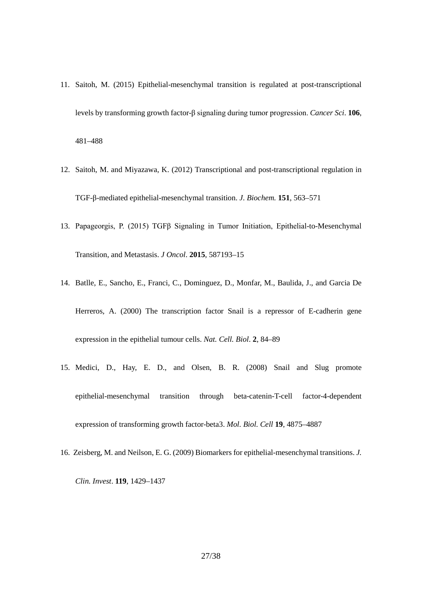- 11. Saitoh, M. (2015) Epithelial-mesenchymal transition is regulated at post-transcriptional levels by transforming growth factor-β signaling during tumor progression. *Cancer Sci*. **106**, 481–488
- 12. Saitoh, M. and Miyazawa, K. (2012) Transcriptional and post-transcriptional regulation in TGF-β-mediated epithelial-mesenchymal transition. *J. Biochem.* **151**, 563–571
- 13. Papageorgis, P. (2015) TGFβ Signaling in Tumor Initiation, Epithelial-to-Mesenchymal Transition, and Metastasis. *J Oncol*. **2015**, 587193–15
- 14. Batlle, E., Sancho, E., Franci, C., Dominguez, D., Monfar, M., Baulida, J., and Garcia De Herreros, A. (2000) The transcription factor Snail is a repressor of E-cadherin gene expression in the epithelial tumour cells. *Nat. Cell. Biol*. **2**, 84–89
- 15. Medici, D., Hay, E. D., and Olsen, B. R. (2008) Snail and Slug promote epithelial-mesenchymal transition through beta-catenin-T-cell factor-4-dependent expression of transforming growth factor-beta3. *Mol. Biol. Cell* **19**, 4875–4887
- 16. Zeisberg, M. and Neilson, E. G. (2009) Biomarkers for epithelial-mesenchymal transitions. *J. Clin. Invest*. **119**, 1429–1437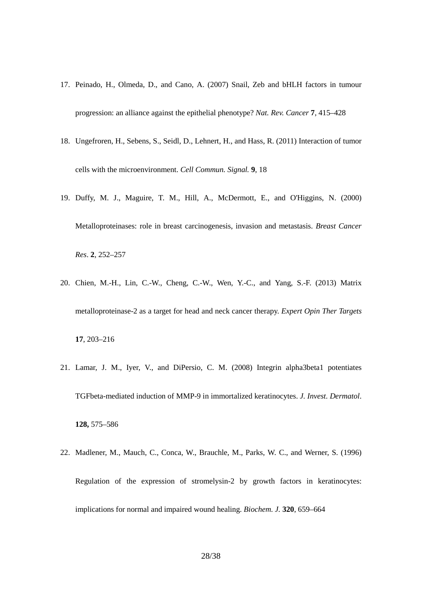- 17. Peinado, H., Olmeda, D., and Cano, A. (2007) Snail, Zeb and bHLH factors in tumour progression: an alliance against the epithelial phenotype? *Nat. Rev. Cancer* **7**, 415–428
- 18. Ungefroren, H., Sebens, S., Seidl, D., Lehnert, H., and Hass, R. (2011) Interaction of tumor cells with the microenvironment. *Cell Commun. Signal.* **9**, 18
- 19. Duffy, M. J., Maguire, T. M., Hill, A., McDermott, E., and O'Higgins, N. (2000) Metalloproteinases: role in breast carcinogenesis, invasion and metastasis. *Breast Cancer Res*. **2**, 252–257
- 20. Chien, M.-H., Lin, C.-W., Cheng, C.-W., Wen, Y.-C., and Yang, S.-F. (2013) Matrix metalloproteinase-2 as a target for head and neck cancer therapy. *Expert Opin Ther Targets* **17**, 203–216
- 21. Lamar, J. M., Iyer, V., and DiPersio, C. M. (2008) Integrin alpha3beta1 potentiates TGFbeta-mediated induction of MMP-9 in immortalized keratinocytes. *J. Invest. Dermatol*. **128,** 575–586
- 22. Madlener, M., Mauch, C., Conca, W., Brauchle, M., Parks, W. C., and Werner, S. (1996) Regulation of the expression of stromelysin-2 by growth factors in keratinocytes: implications for normal and impaired wound healing. *Biochem. J.* **320**, 659–664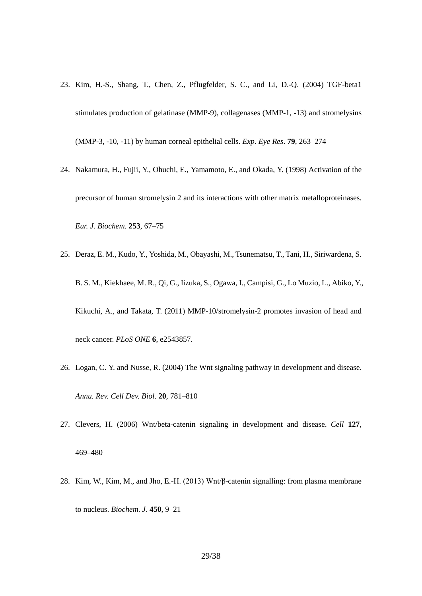- 23. Kim, H.-S., Shang, T., Chen, Z., Pflugfelder, S. C., and Li, D.-Q. (2004) TGF-beta1 stimulates production of gelatinase (MMP-9), collagenases (MMP-1, -13) and stromelysins (MMP-3, -10, -11) by human corneal epithelial cells. *Exp. Eye Res*. **79**, 263–274
- 24. Nakamura, H., Fujii, Y., Ohuchi, E., Yamamoto, E., and Okada, Y. (1998) Activation of the precursor of human stromelysin 2 and its interactions with other matrix metalloproteinases. *Eur. J. Biochem.* **253**, 67–75
- 25. Deraz, E. M., Kudo, Y., Yoshida, M., Obayashi, M., Tsunematsu, T., Tani, H., Siriwardena, S. B. S. M., Kiekhaee, M. R., Qi, G., Iizuka, S., Ogawa, I., Campisi, G., Lo Muzio, L., Abiko, Y., Kikuchi, A., and Takata, T. (2011) MMP-10/stromelysin-2 promotes invasion of head and neck cancer. *PLoS ONE* **6**, e2543857.
- 26. Logan, C. Y. and Nusse, R. (2004) The Wnt signaling pathway in development and disease. *Annu. Rev. Cell Dev. Biol*. **20**, 781–810
- 27. Clevers, H. (2006) Wnt/beta-catenin signaling in development and disease. *Cell* **127**, 469–480
- 28. Kim, W., Kim, M., and Jho, E.-H. (2013) Wnt/β-catenin signalling: from plasma membrane to nucleus. *Biochem. J*. **450**, 9–21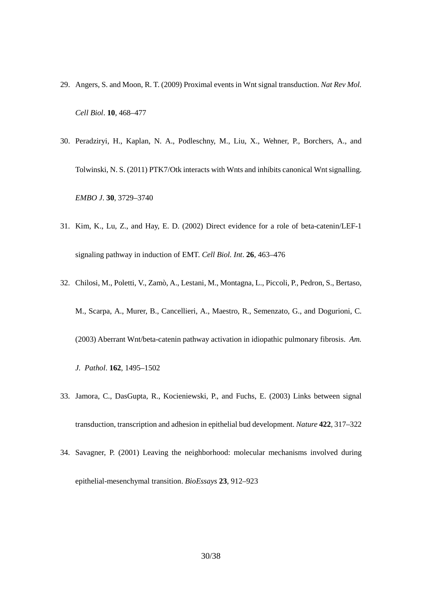- 29. Angers, S. and Moon, R. T. (2009) Proximal events in Wnt signal transduction. *Nat Rev Mol. Cell Biol*. **10**, 468–477
- 30. Peradziryi, H., Kaplan, N. A., Podleschny, M., Liu, X., Wehner, P., Borchers, A., and Tolwinski, N. S. (2011) PTK7/Otk interacts with Wnts and inhibits canonical Wnt signalling. *EMBO J*. **30**, 3729–3740
- 31. Kim, K., Lu, Z., and Hay, E. D. (2002) Direct evidence for a role of beta-catenin/LEF-1 signaling pathway in induction of EMT. *Cell Biol. Int*. **26**, 463–476
- 32. Chilosi, M., Poletti, V., Zamò, A., Lestani, M., Montagna, L., Piccoli, P., Pedron, S., Bertaso, M., Scarpa, A., Murer, B., Cancellieri, A., Maestro, R., Semenzato, G., and Dogurioni, C. (2003) Aberrant Wnt/beta-catenin pathway activation in idiopathic pulmonary fibrosis. *Am.*
	- *J. Pathol*. **162**, 1495–1502
- 33. Jamora, C., DasGupta, R., Kocieniewski, P., and Fuchs, E. (2003) Links between signal transduction, transcription and adhesion in epithelial bud development. *Nature* **422**, 317–322
- 34. Savagner, P. (2001) Leaving the neighborhood: molecular mechanisms involved during epithelial-mesenchymal transition. *BioEssays* **23**, 912–923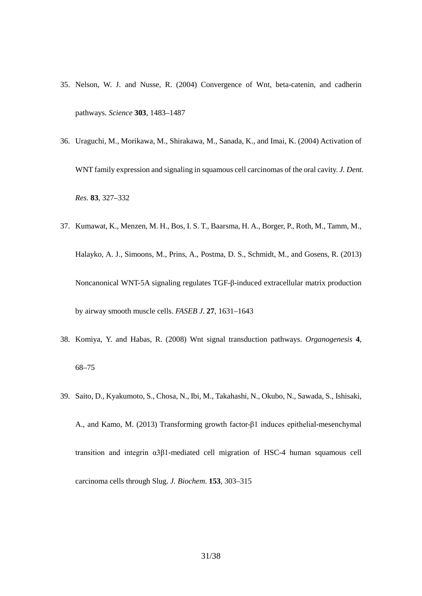- 35. Nelson, W. J. and Nusse, R. (2004) Convergence of Wnt, beta-catenin, and cadherin pathways. *Science* **303**, 1483–1487
- 36. Uraguchi, M., Morikawa, M., Shirakawa, M., Sanada, K., and Imai, K. (2004) Activation of WNT family expression and signaling in squamous cell carcinomas of the oral cavity. *J. Dent. Res.* **83**, 327–332
- 37. Kumawat, K., Menzen, M. H., Bos, I. S. T., Baarsma, H. A., Borger, P., Roth, M., Tamm, M., Halayko, A. J., Simoons, M., Prins, A., Postma, D. S., Schmidt, M., and Gosens, R. (2013) Noncanonical WNT-5A signaling regulates TGF-β-induced extracellular matrix production by airway smooth muscle cells. *FASEB J*. **27**, 1631–1643
- 38. Komiya, Y. and Habas, R. (2008) Wnt signal transduction pathways. *Organogenesis* **4**, 68–75
- 39. Saito, D., Kyakumoto, S., Chosa, N., Ibi, M., Takahashi, N., Okubo, N., Sawada, S., Ishisaki, A., and Kamo, M. (2013) Transforming growth factor-β1 induces epithelial-mesenchymal transition and integrin α3β1-mediated cell migration of HSC-4 human squamous cell carcinoma cells through Slug. *J. Biochem*. **153**, 303–315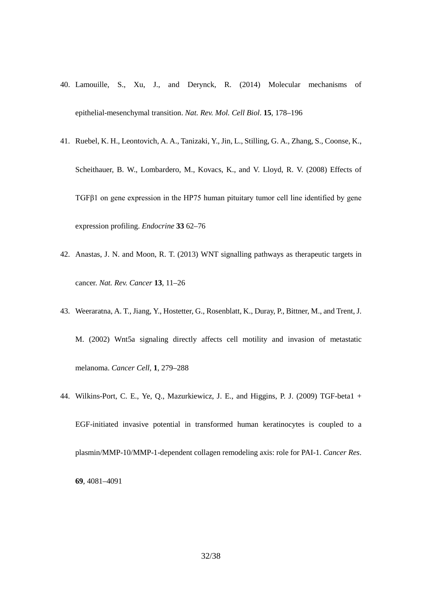- 40. Lamouille, S., Xu, J., and Derynck, R. (2014) Molecular mechanisms of epithelial-mesenchymal transition. *Nat. Rev. Mol. Cell Biol*. **15**, 178–196
- 41. Ruebel, K. H., Leontovich, A. A., Tanizaki, Y., Jin, L., Stilling, G. A., Zhang, S., Coonse, K., Scheithauer, B. W., Lombardero, M., Kovacs, K., and V. Lloyd, R. V. (2008) Effects of TGFβ1 on gene expression in the HP75 human pituitary tumor cell line identified by gene expression profiling. *Endocrine* **33** 62–76
- 42. Anastas, J. N. and Moon, R. T. (2013) WNT signalling pathways as therapeutic targets in cancer. *Nat. Rev. Cancer* **13**, 11–26
- 43. Weeraratna, A. T., Jiang, Y., Hostetter, G., Rosenblatt, K., Duray, P., Bittner, M., and Trent, J. M. (2002) Wnt5a signaling directly affects cell motility and invasion of metastatic melanoma. *Cancer Cell*, **1**, 279–288
- 44. Wilkins-Port, C. E., Ye, Q., Mazurkiewicz, J. E., and Higgins, P. J. (2009) TGF-beta1 + EGF-initiated invasive potential in transformed human keratinocytes is coupled to a plasmin/MMP-10/MMP-1-dependent collagen remodeling axis: role for PAI-1. *Cancer Res*. **69***,* 4081–4091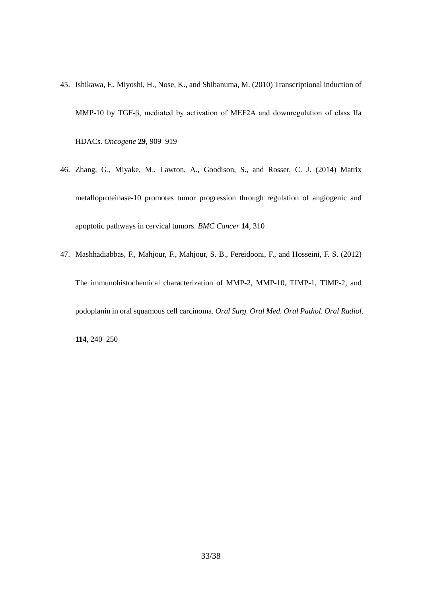- 45. Ishikawa, F., Miyoshi, H., Nose, K., and Shibanuma, M. (2010) Transcriptional induction of MMP-10 by TGF-β, mediated by activation of MEF2A and downregulation of class IIa HDACs. *Oncogene* **29**, 909–919
- 46. Zhang, G., Miyake, M., Lawton, A., Goodison, S., and Rosser, C. J. (2014) Matrix metalloproteinase-10 promotes tumor progression through regulation of angiogenic and apoptotic pathways in cervical tumors. *BMC Cancer* **14**, 310
- 47. Mashhadiabbas, F., Mahjour, F., Mahjour, S. B., Fereidooni, F., and Hosseini, F. S. (2012) The immunohistochemical characterization of MMP-2, MMP-10, TIMP-1, TIMP-2, and podoplanin in oral squamous cell carcinoma. *Oral Surg. Oral Med. Oral Pathol. Oral Radiol.*

**114**, 240–250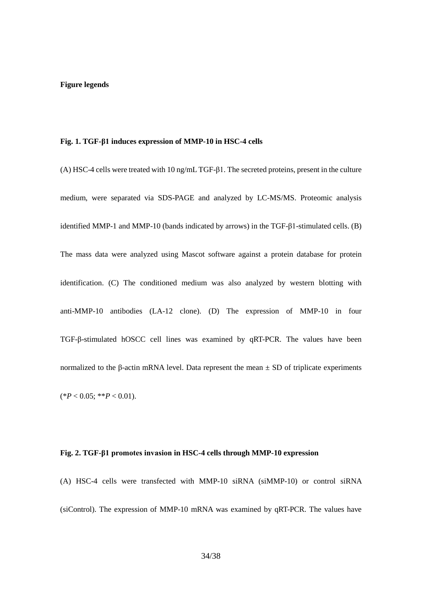#### **Figure legends**

#### **Fig. 1. TGF-β1 induces expression of MMP-10 in HSC-4 cells**

(A) HSC-4 cells were treated with 10 ng/mL TGF-β1. The secreted proteins, present in the culture medium, were separated via SDS-PAGE and analyzed by LC-MS/MS. Proteomic analysis identified MMP-1 and MMP-10 (bands indicated by arrows) in the TGF-β1-stimulated cells. (B) The mass data were analyzed using Mascot software against a protein database for protein identification. (C) The conditioned medium was also analyzed by western blotting with anti-MMP-10 antibodies (LA-12 clone). (D) The expression of MMP-10 in four TGF-β-stimulated hOSCC cell lines was examined by qRT-PCR. The values have been normalized to the β-actin mRNA level. Data represent the mean  $\pm$  SD of triplicate experiments  $(*P < 0.05; **P < 0.01).$ 

#### **Fig. 2. TGF-β1 promotes invasion in HSC-4 cells through MMP-10 expression**

(A) HSC-4 cells were transfected with MMP-10 siRNA (siMMP-10) or control siRNA (siControl). The expression of MMP-10 mRNA was examined by qRT-PCR. The values have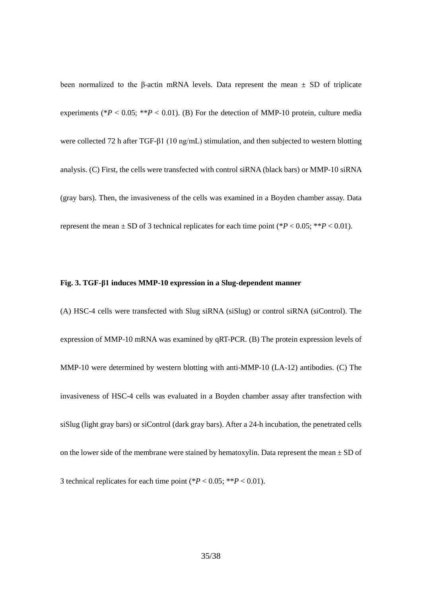been normalized to the β-actin mRNA levels. Data represent the mean  $±$  SD of triplicate experiments ( $*P < 0.05$ ;  $*P < 0.01$ ). (B) For the detection of MMP-10 protein, culture media were collected 72 h after TGF-β1 (10 ng/mL) stimulation, and then subjected to western blotting analysis. (C) First, the cells were transfected with control siRNA (black bars) or MMP-10 siRNA (gray bars). Then, the invasiveness of the cells was examined in a Boyden chamber assay. Data represent the mean  $\pm$  SD of 3 technical replicates for each time point (\**P* < 0.05; \*\**P* < 0.01).

#### **Fig. 3. TGF-β1 induces MMP-10 expression in a Slug-dependent manner**

(A) HSC-4 cells were transfected with Slug siRNA (siSlug) or control siRNA (siControl). The expression of MMP-10 mRNA was examined by qRT-PCR. (B) The protein expression levels of MMP-10 were determined by western blotting with anti-MMP-10 (LA-12) antibodies. (C) The invasiveness of HSC-4 cells was evaluated in a Boyden chamber assay after transfection with siSlug (light gray bars) or siControl (dark gray bars). After a 24-h incubation, the penetrated cells on the lower side of the membrane were stained by hematoxylin. Data represent the mean  $\pm$  SD of 3 technical replicates for each time point  $(*P < 0.05; **P < 0.01)$ .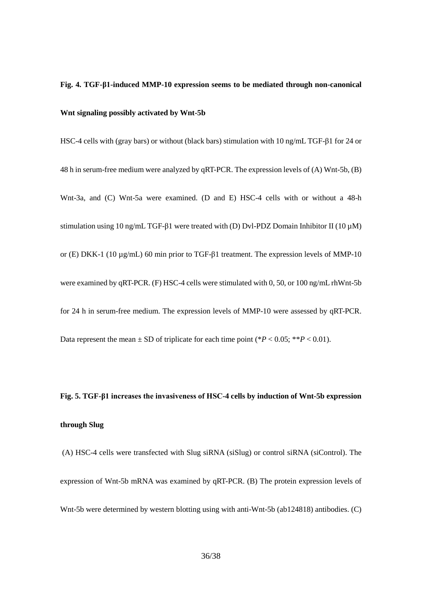# **Fig. 4. TGF-β1-induced MMP-10 expression seems to be mediated through non-canonical Wnt signaling possibly activated by Wnt-5b**

HSC-4 cells with (gray bars) or without (black bars) stimulation with 10 ng/mL TGF-β1 for 24 or 48 h in serum-free medium were analyzed by qRT-PCR. The expression levels of (A) Wnt-5b, (B) Wnt-3a, and (C) Wnt-5a were examined. (D and E) HSC-4 cells with or without a 48-h stimulation using 10 ng/mL TGF-β1 were treated with (D) Dvl-PDZ Domain Inhibitor II (10  $\mu$ M) or (E) DKK-1 (10 µg/mL) 60 min prior to TGF-β1 treatment. The expression levels of MMP-10 were examined by qRT-PCR. (F) HSC-4 cells were stimulated with 0, 50, or 100 ng/mL rhWnt-5b for 24 h in serum-free medium. The expression levels of MMP-10 were assessed by qRT-PCR. Data represent the mean  $\pm$  SD of triplicate for each time point (\* $P < 0.05$ ; \*\* $P < 0.01$ ).

# **Fig. 5. TGF-β1 increases the invasiveness of HSC-4 cells by induction of Wnt-5b expression through Slug**

(A) HSC-4 cells were transfected with Slug siRNA (siSlug) or control siRNA (siControl). The expression of Wnt-5b mRNA was examined by qRT-PCR. (B) The protein expression levels of Wnt-5b were determined by western blotting using with anti-Wnt-5b (ab124818) antibodies. (C)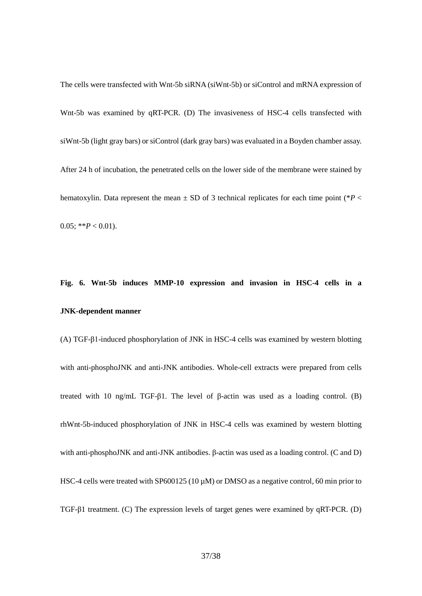The cells were transfected with Wnt-5b siRNA (siWnt-5b) or siControl and mRNA expression of Wnt-5b was examined by qRT-PCR. (D) The invasiveness of HSC-4 cells transfected with siWnt-5b (light gray bars) or siControl (dark gray bars) was evaluated in a Boyden chamber assay. After 24 h of incubation, the penetrated cells on the lower side of the membrane were stained by hematoxylin. Data represent the mean  $\pm$  SD of 3 technical replicates for each time point ( $*P$   $\lt$ 0.05; \*\* $P < 0.01$ ).

# **Fig. 6. Wnt-5b induces MMP-10 expression and invasion in HSC-4 cells in a JNK-dependent manner**

(A) TGF-β1-induced phosphorylation of JNK in HSC-4 cells was examined by western blotting with anti-phosphoJNK and anti-JNK antibodies. Whole-cell extracts were prepared from cells treated with 10 ng/mL TGF-β1. The level of β-actin was used as a loading control. (B) rhWnt-5b-induced phosphorylation of JNK in HSC-4 cells was examined by western blotting with anti-phosphoJNK and anti-JNK antibodies. β-actin was used as a loading control. (C and D) HSC-4 cells were treated with SP600125 (10  $\mu$ M) or DMSO as a negative control, 60 min prior to TGF-β1 treatment. (C) The expression levels of target genes were examined by qRT-PCR. (D)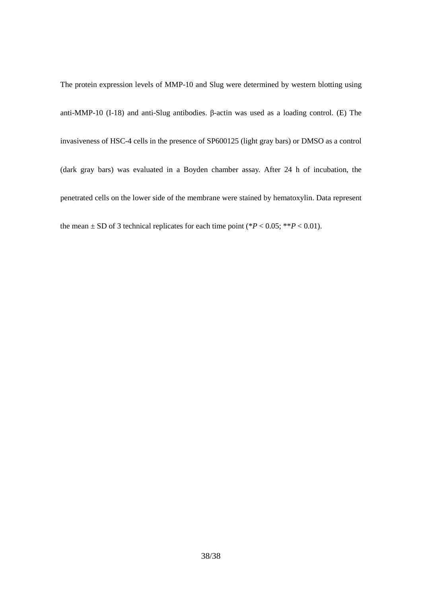The protein expression levels of MMP-10 and Slug were determined by western blotting using anti-MMP-10 (I-18) and anti-Slug antibodies. β-actin was used as a loading control. (E) The invasiveness of HSC-4 cells in the presence of SP600125 (light gray bars) or DMSO as a control (dark gray bars) was evaluated in a Boyden chamber assay. After 24 h of incubation, the penetrated cells on the lower side of the membrane were stained by hematoxylin. Data represent the mean  $\pm$  SD of 3 technical replicates for each time point (\* $P < 0.05$ ; \*\* $P < 0.01$ ).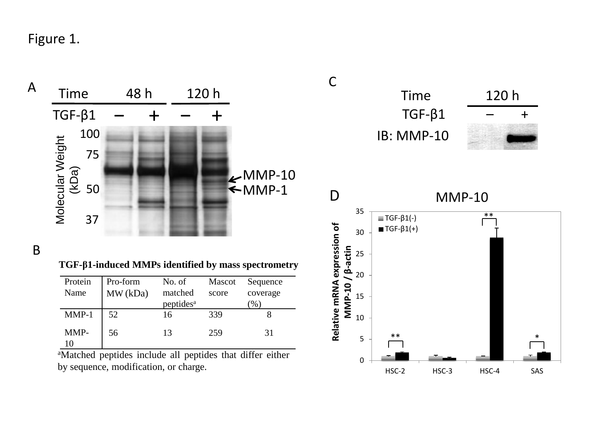Figure 1.



B

**TGF-β1-induced MMPs identified by mass spectrometry**

| Protein<br>Name | Pro-form<br>MW (kDa) | No. of<br>matched     | Mascot<br>score | Sequence<br>coverage |
|-----------------|----------------------|-----------------------|-----------------|----------------------|
|                 |                      | peptides <sup>a</sup> |                 | $\%$                 |
| $MMP-1$         | 52                   | 16                    | 339             |                      |
| MMP-<br>10      | 56                   | 13                    | 259             | 31                   |

aMatched peptides include all peptides that differ either by sequence, modification, or charge.



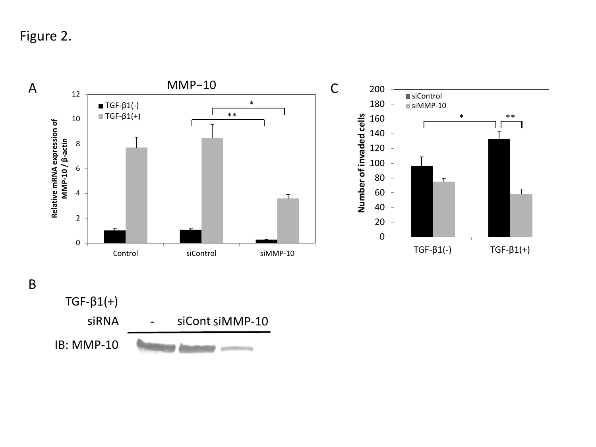Figure 2.



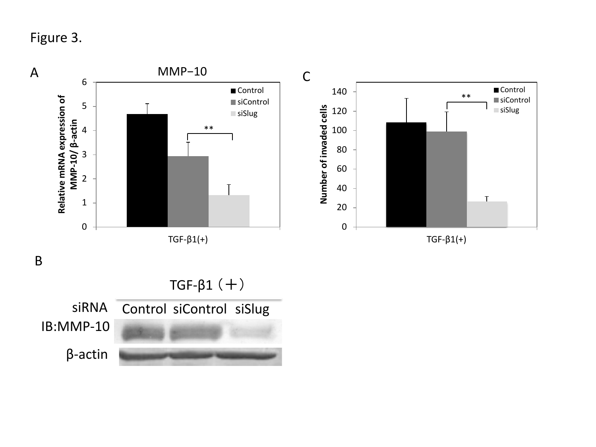Figure 3.

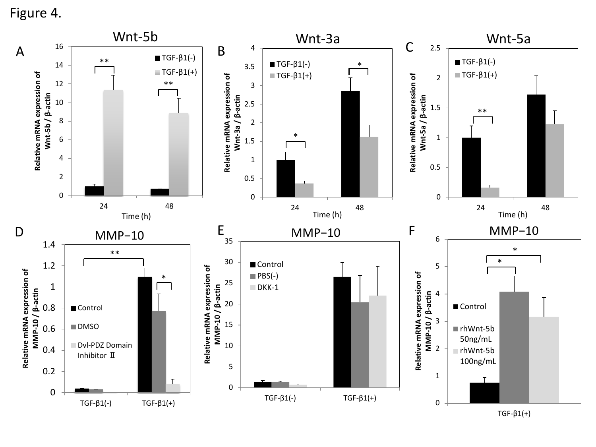Figure 4.



TGF-β1(+)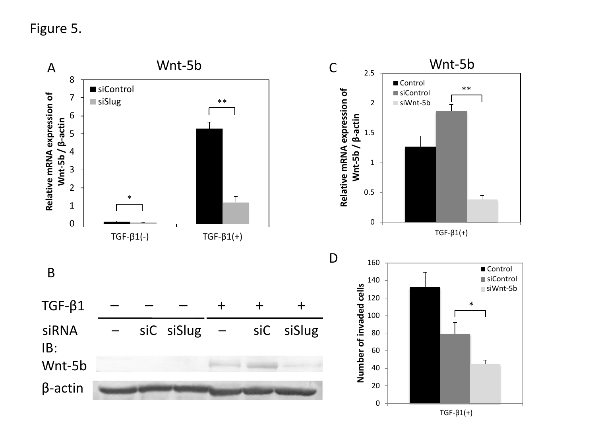Figure 5.



TGF-β(+) TGF-β1(+)